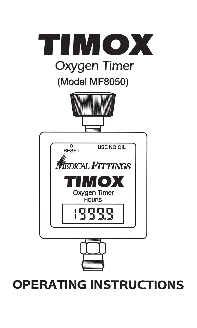

# **OPERATING INSTRUCTIONS**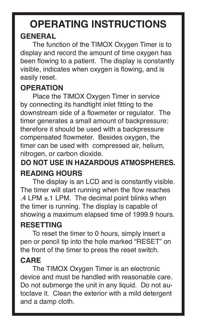# **OPERATING INSTRUCTIONS GENERAL**

The function of the TIMOX Oxygen Timer is to display and record the amount of time oxygen has been flowing to a patient. The display is constantly visible, indicates when oxygen is flowing, and is easily reset.

#### **OPERATION**

Place the TIMOX Oxygen Timer in service by connecting its handtight inlet fitting to the downstream side of a flowmeter or regulator. The timer generates a small amount of backpressure; therefore it should be used with a backpressure compensated flowmeter. Besides oxygen, the timer can be used with compressed air, helium, nitrogen, or carbon dioxide.

## **DO NOT USE IN HAZARDOUS ATMOSPHERES. READING HOURS**

The display is an LCD and is constantly visible. The timer will start running when the flow reaches  $.4$  LPM  $\pm$  1 LPM. The decimal point blinks when the timer is running. The display is capable of showing a maximum elapsed time of 1999.9 hours.

### **RESETTING**

To reset the timer to 0 hours, simply insert a pen or pencil tip into the hole marked "RESET" on the front of the timer to press the reset switch.

### **CARE**

The TIMOX Oxygen Timer is an electronic device and must be handled with reasonable care. Do not submerge the unit in any liquid. Do not autoclave it. Clean the exterior with a mild detergent and a damp cloth.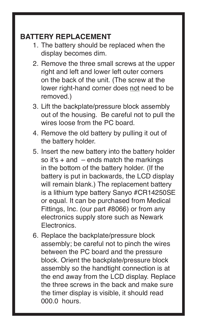#### **BATTERY REPLACEMENT**

- 1. The battery should be replaced when the display becomes dim.
- 2. Remove the three small screws at the upper right and left and lower left outer corners on the back of the unit. (The screw at the lower right-hand corner does not need to be removed.)
- 3. Lift the backplate/pressure block assembly out of the housing. Be careful not to pull the wires loose from the PC board.
- 4. Remove the old battery by pulling it out of the battery holder.
- 5. Insert the new battery into the battery holder so it's  $+$  and  $-$  ends match the markings in the bottom of the battery holder. (If the battery is put in backwards, the LCD display will remain blank.) The replacement battery is a lithium type battery Sanyo #CR14250SE or equal. It can be purchased from Medical Fittings, Inc. (our part #8066) or from any electronics supply store such as Newark **Electronics**
- 6. Replace the backplate/pressure block assembly; be careful not to pinch the wires between the PC board and the pressure block. Orient the backplate/pressure block assembly so the handtight connection is at the end away from the LCD display. Replace the three screws in the back and make sure the timer display is visible, it should read 000.0 hours.